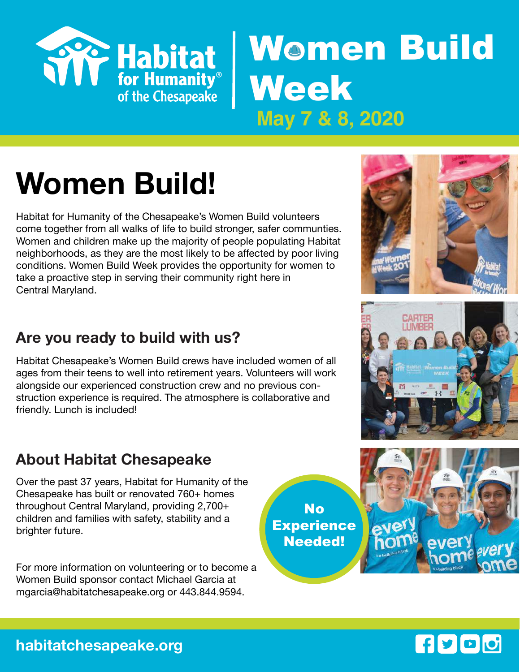

## Week **May 7 & 8, 2020** Women Build

# **Women Build!**

Habitat for Humanity of the Chesapeake's Women Build volunteers come together from all walks of life to build stronger, safer communties. Women and children make up the majority of people populating Habitat neighborhoods, as they are the most likely to be affected by poor living conditions. Women Build Week provides the opportunity for women to take a proactive step in serving their community right here in Central Maryland.

#### **Are you ready to build with us?**

Habitat Chesapeake's Women Build crews have included women of all ages from their teens to well into retirement years. Volunteers will work alongside our experienced construction crew and no previous construction experience is required. The atmosphere is collaborative and friendly. Lunch is included!

#### **About Habitat Chesapeake**

Over the past 37 years, Habitat for Humanity of the Chesapeake has built or renovated 760+ homes throughout Central Maryland, providing 2,700+ children and families with safety, stability and a brighter future.

For more information on volunteering or to become a Women Build sponsor contact Michael Garcia at mgarcia@habitatchesapeake.org or 443.844.9594.

No **Experience** Needed!



every





ever)

**habitatchesapeake.org**